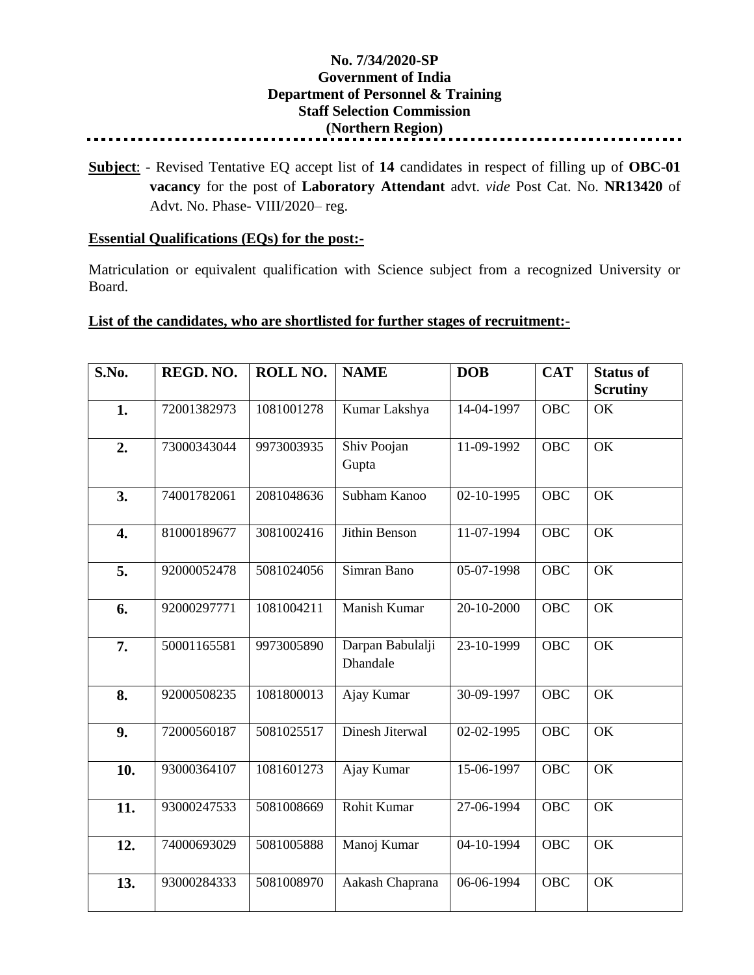## **No. 7/34/2020-SP Government of India Department of Personnel & Training Staff Selection Commission (Northern Region)**

**Subject**: - Revised Tentative EQ accept list of **14** candidates in respect of filling up of **OBC-01 vacancy** for the post of **Laboratory Attendant** advt. *vide* Post Cat. No. **NR13420** of Advt. No. Phase- VIII/2020– reg.

## **Essential Qualifications (EQs) for the post:-**

Matriculation or equivalent qualification with Science subject from a recognized University or Board.

## **List of the candidates, who are shortlisted for further stages of recruitment:-**

| S.No.            | REGD. NO.   | ROLL NO.   | <b>NAME</b>                  | <b>DOB</b>   | <b>CAT</b> | <b>Status of</b><br><b>Scrutiny</b> |
|------------------|-------------|------------|------------------------------|--------------|------------|-------------------------------------|
| 1.               | 72001382973 | 1081001278 | Kumar Lakshya                | 14-04-1997   | <b>OBC</b> | OK                                  |
| 2.               | 73000343044 | 9973003935 | Shiv Poojan<br>Gupta         | $11-09-1992$ | <b>OBC</b> | OK                                  |
| 3.               | 74001782061 | 2081048636 | Subham Kanoo                 | 02-10-1995   | <b>OBC</b> | OK                                  |
| $\overline{4}$ . | 81000189677 | 3081002416 | <b>Jithin Benson</b>         | 11-07-1994   | <b>OBC</b> | $\overline{\text{OK}}$              |
| 5.               | 92000052478 | 5081024056 | Simran Bano                  | 05-07-1998   | OBC        | OK                                  |
| 6.               | 92000297771 | 1081004211 | Manish Kumar                 | 20-10-2000   | <b>OBC</b> | OK                                  |
| 7.               | 50001165581 | 9973005890 | Darpan Babulalji<br>Dhandale | 23-10-1999   | <b>OBC</b> | OK                                  |
| 8.               | 92000508235 | 1081800013 | Ajay Kumar                   | 30-09-1997   | <b>OBC</b> | OK                                  |
| 9.               | 72000560187 | 5081025517 | Dinesh Jiterwal              | 02-02-1995   | <b>OBC</b> | $\overline{OK}$                     |
| 10.              | 93000364107 | 1081601273 | Ajay Kumar                   | 15-06-1997   | <b>OBC</b> | OK                                  |
| 11.              | 93000247533 | 5081008669 | Rohit Kumar                  | 27-06-1994   | <b>OBC</b> | $\overline{\text{OK}}$              |
| 12.              | 74000693029 | 5081005888 | Manoj Kumar                  | 04-10-1994   | <b>OBC</b> | $\overline{\text{OK}}$              |
| 13.              | 93000284333 | 5081008970 | Aakash Chaprana              | 06-06-1994   | <b>OBC</b> | OK                                  |